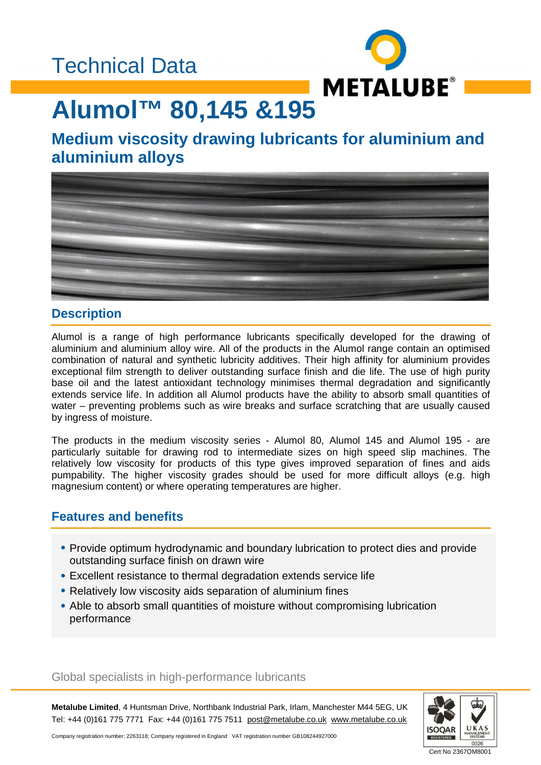### Technical Data



# **Alumol™ 80,145 &195**

### **Medium viscosity drawing lubricants for aluminium and aluminium alloys**



### **Description**

Alumol is a range of high performance lubricants specifically developed for the drawing of aluminium and aluminium alloy wire. All of the products in the Alumol range contain an optimised combination of natural and synthetic lubricity additives. Their high affinity for aluminium provides exceptional film strength to deliver outstanding surface finish and die life. The use of high purity base oil and the latest antioxidant technology minimises thermal degradation and significantly extends service life. In addition all Alumol products have the ability to absorb small quantities of water – preventing problems such as wire breaks and surface scratching that are usually caused by ingress of moisture.

The products in the medium viscosity series - Alumol 80, Alumol 145 and Alumol 195 - are particularly suitable for drawing rod to intermediate sizes on high speed slip machines. The relatively low viscosity for products of this type gives improved separation of fines and aids pumpability. The higher viscosity grades should be used for more difficult alloys (e.g. high magnesium content) or where operating temperatures are higher.

### **Features and benefits**

- Provide optimum hydrodynamic and boundary lubrication to protect dies and provide outstanding surface finish on drawn wire
- Excellent resistance to thermal degradation extends service life
- Relatively low viscosity aids separation of aluminium fines
- Able to absorb small quantities of moisture without compromising lubrication performance

#### Global specialists in high-performance lubricants

**Metalube Limited**, 4 Huntsman Drive, Northbank Industrial Park, Irlam, Manchester M44 5EG, UK Tel: +44 (0)161 775 7771 Fax: +44 (0)161 775 7511 [post@metalube.co.uk](mailto:post@metalube.co.uk) [www.metalube.co.uk](http://www.metalube.co.uk)



Company registration number: 2263118; Company registered in England VAT registration number GB108244927000

Cert No 2367QM8001